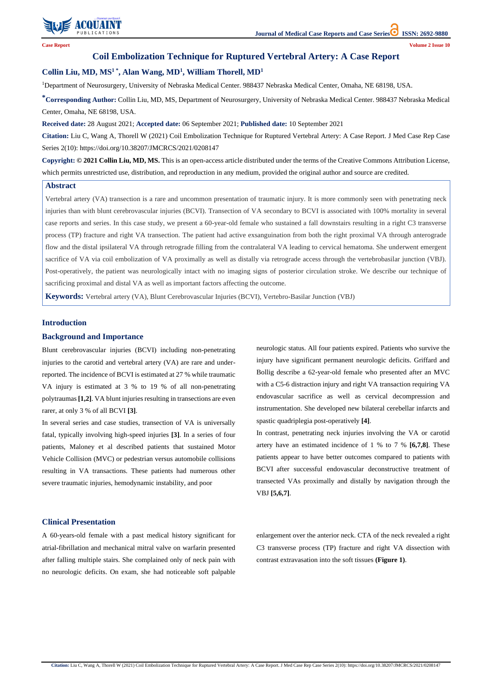

**Case Report Volume 2 Issue 10**

# **Coil Embolization Technique for Ruptured Vertebral Artery: A Case Report**

# **Collin Liu, MD, MS<sup>1</sup> \* , Alan Wang, MD<sup>1</sup> , William Thorell, MD<sup>1</sup>**

<sup>1</sup>Department of Neurosurgery, University of Nebraska Medical Center. 988437 Nebraska Medical Center, Omaha, NE 68198, USA.

**\*Corresponding Author:** Collin Liu, MD, MS, Department of Neurosurgery, University of Nebraska Medical Center. 988437 Nebraska Medical Center, Omaha, NE 68198, USA.

**Received date:** 28 August 2021; **Accepted date:** 06 September 2021; **Published date:** 10 September 2021

**Citation:** Liu C, Wang A, Thorell W (2021) Coil Embolization Technique for Ruptured Vertebral Artery: A Case Report. J Med Case Rep Case Series 2(10): https://doi.org/10.38207/JMCRCS/2021/0208147

**Copyright: © 2021 Collin Liu, MD, MS.** This is an open-access article distributed under the terms of the Creative Commons Attribution License, which permits unrestricted use, distribution, and reproduction in any medium, provided the original author and source are credited.

#### **Abstract**

Vertebral artery (VA) transection is a rare and uncommon presentation of traumatic injury. It is more commonly seen with penetrating neck injuries than with blunt cerebrovascular injuries (BCVI). Transection of VA secondary to BCVI is associated with 100% mortality in several case reports and series. In this case study, we present a 60-year-old female who sustained a fall downstairs resulting in a right C3 transverse process (TP) fracture and right VA transection. The patient had active exsanguination from both the right proximal VA through anterograde flow and the distal ipsilateral VA through retrograde filling from the contralateral VA leading to cervical hematoma. She underwent emergent sacrifice of VA via coil embolization of VA proximally as well as distally via retrograde access through the vertebrobasilar junction (VBJ). Post-operatively, the patient was neurologically intact with no imaging signs of posterior circulation stroke. We describe our technique of sacrificing proximal and distal VA as well as important factors affecting the outcome.

**Keywords:** Vertebral artery (VA), Blunt Cerebrovascular Injuries (BCVI), Vertebro-Basilar Junction (VBJ)

### **Introduction**

## **Background and Importance**

Blunt cerebrovascular injuries (BCVI) including non-penetrating injuries to the carotid and vertebral artery (VA) are rare and underreported. The incidence of BCVI is estimated at 27 % while traumatic VA injury is estimated at 3 % to 19 % of all non-penetrating polytraumas **[1,2]**. VA blunt injuries resulting in transections are even rarer, at only 3 % of all BCVI **[3]**.

In several series and case studies, transection of VA is universally fatal, typically involving high-speed injuries **[3]**. In a series of four patients, Maloney et al described patients that sustained Motor Vehicle Collision (MVC) or pedestrian versus automobile collisions resulting in VA transactions. These patients had numerous other severe traumatic injuries, hemodynamic instability, and poor

neurologic status. All four patients expired. Patients who survive the injury have significant permanent neurologic deficits. Griffard and Bollig describe a 62-year-old female who presented after an MVC with a C5-6 distraction injury and right VA transaction requiring VA endovascular sacrifice as well as cervical decompression and instrumentation. She developed new bilateral cerebellar infarcts and spastic quadriplegia post-operatively **[4]**.

In contrast, penetrating neck injuries involving the VA or carotid artery have an estimated incidence of 1 % to 7 % **[6,7,8]**. These patients appear to have better outcomes compared to patients with BCVI after successful endovascular deconstructive treatment of transected VAs proximally and distally by navigation through the VBJ **[5,6,7]**.

A 60-years-old female with a past medical history significant for atrial-fibrillation and mechanical mitral valve on warfarin presented after falling multiple stairs. She complained only of neck pain with no neurologic deficits. On exam, she had noticeable soft palpable enlargement over the anterior neck. CTA of the neck revealed a right C3 transverse process (TP) fracture and right VA dissection with contrast extravasation into the soft tissues **(Figure 1)**.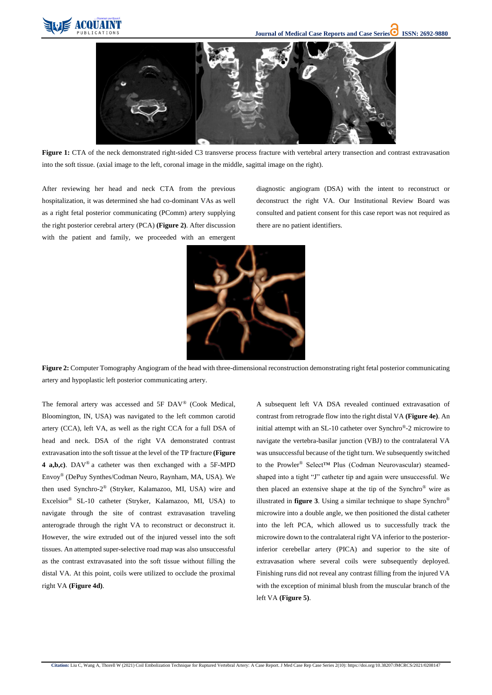



Figure 1: CTA of the neck demonstrated right-sided C3 transverse process fracture with vertebral artery transection and contrast extravasation into the soft tissue. (axial image to the left, coronal image in the middle, sagittal image on the right).

After reviewing her head and neck CTA from the previous hospitalization, it was determined she had co-dominant VAs as well as a right fetal posterior communicating (PComm) artery supplying the right posterior cerebral artery (PCA) **(Figure 2)**. After discussion with the patient and family, we proceeded with an emergent diagnostic angiogram (DSA) with the intent to reconstruct or deconstruct the right VA. Our Institutional Review Board was consulted and patient consent for this case report was not required as there are no patient identifiers.



**Figure 2:** Computer Tomography Angiogram of the head with three-dimensional reconstruction demonstrating right fetal posterior communicating artery and hypoplastic left posterior communicating artery.

The femoral artery was accessed and 5F DAV® (Cook Medical, Bloomington, IN, USA) was navigated to the left common carotid artery (CCA), left VA, as well as the right CCA for a full DSA of head and neck. DSA of the right VA demonstrated contrast extravasation into the soft tissue at the level of the TP fracture **(Figure 4 a,b,c)**. DAV® a catheter was then exchanged with a 5F-MPD Envoy® (DePuy Synthes/Codman Neuro, Raynham, MA, USA). We then used Synchro-2 ® (Stryker, Kalamazoo, MI, USA) wire and Excelsior® SL-10 catheter (Stryker, Kalamazoo, MI, USA) to navigate through the site of contrast extravasation traveling anterograde through the right VA to reconstruct or deconstruct it. However, the wire extruded out of the injured vessel into the soft tissues. An attempted super-selective road map was also unsuccessful as the contrast extravasated into the soft tissue without filling the distal VA. At this point, coils were utilized to occlude the proximal right VA **(Figure 4d)**.

A subsequent left VA DSA revealed continued extravasation of contrast from retrograde flow into the right distal VA **(Figure 4e)**. An initial attempt with an SL-10 catheter over Synchro®-2 microwire to navigate the vertebra-basilar junction (VBJ) to the contralateral VA was unsuccessful because of the tight turn. We subsequently switched to the Prowler® Select™ Plus (Codman Neurovascular) steamedshaped into a tight "J" catheter tip and again were unsuccessful. We then placed an extensive shape at the tip of the Synchro® wire as illustrated in **figure 3**. Using a similar technique to shape Synchro® microwire into a double angle, we then positioned the distal catheter into the left PCA, which allowed us to successfully track the microwire down to the contralateral right VA inferior to the posteriorinferior cerebellar artery (PICA) and superior to the site of extravasation where several coils were subsequently deployed. Finishing runs did not reveal any contrast filling from the injured VA with the exception of minimal blush from the muscular branch of the left VA **(Figure 5)**.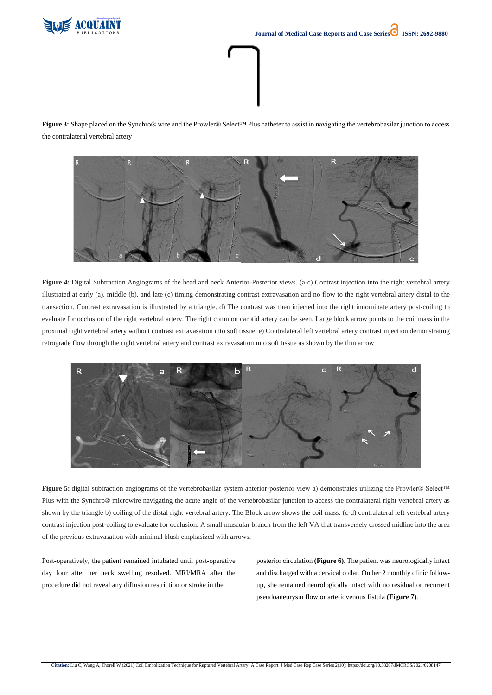

**Figure 3:** Shape placed on the Synchro® wire and the Prowler® Select™ Plus catheter to assist in navigating the vertebrobasilar junction to access the contralateral vertebral artery



**Figure 4:** Digital Subtraction Angiograms of the head and neck Anterior-Posterior views. (a-c) Contrast injection into the right vertebral artery illustrated at early (a), middle (b), and late (c) timing demonstrating contrast extravasation and no flow to the right vertebral artery distal to the transaction. Contrast extravasation is illustrated by a triangle. d) The contrast was then injected into the right innominate artery post-coiling to evaluate for occlusion of the right vertebral artery. The right common carotid artery can be seen. Large block arrow points to the coil mass in the proximal right vertebral artery without contrast extravasation into soft tissue. e) Contralateral left vertebral artery contrast injection demonstrating retrograde flow through the right vertebral artery and contrast extravasation into soft tissue as shown by the thin arrow





of the previous extravasation with minimal blush emphasized with arrows.

Post-operatively, the patient remained intubated until post-operative day four after her neck swelling resolved. MRI/MRA after the procedure did not reveal any diffusion restriction or stroke in the

posterior circulation **(Figure 6)**. The patient was neurologically intact and discharged with a cervical collar. On her 2 monthly clinic followup, she remained neurologically intact with no residual or recurrent pseudoaneurysm flow or arteriovenous fistula **(Figure 7)**.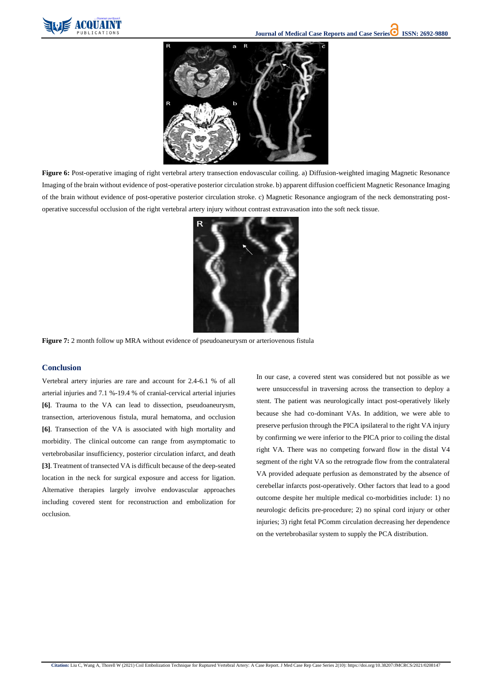



**Figure 6:** Post-operative imaging of right vertebral artery transection endovascular coiling. a) Diffusion-weighted imaging Magnetic Resonance Imaging of the brain without evidence of post-operative posterior circulation stroke. b) apparent diffusion coefficient Magnetic Resonance Imaging of the brain without evidence of post-operative posterior circulation stroke. c) Magnetic Resonance angiogram of the neck demonstrating postoperative successful occlusion of the right vertebral artery injury without contrast extravasation into the soft neck tissue.



**Figure 7:** 2 month follow up MRA without evidence of pseudoaneurysm or arteriovenous fistula

### **Conclusion**

Vertebral artery injuries are rare and account for 2.4-6.1 % of all arterial injuries and 7.1 %-19.4 % of cranial-cervical arterial injuries **[6]**. Trauma to the VA can lead to dissection, pseudoaneurysm, transection, arteriovenous fistula, mural hematoma, and occlusion **[6]**. Transection of the VA is associated with high mortality and morbidity. The clinical outcome can range from asymptomatic to vertebrobasilar insufficiency, posterior circulation infarct, and death **[3]**. Treatment of transected VA is difficult because of the deep-seated location in the neck for surgical exposure and access for ligation. Alternative therapies largely involve endovascular approaches including covered stent for reconstruction and embolization for occlusion.

In our case, a covered stent was considered but not possible as we were unsuccessful in traversing across the transection to deploy a stent. The patient was neurologically intact post-operatively likely because she had co-dominant VAs. In addition, we were able to preserve perfusion through the PICA ipsilateral to the right VA injury by confirming we were inferior to the PICA prior to coiling the distal right VA. There was no competing forward flow in the distal V4 segment of the right VA so the retrograde flow from the contralateral VA provided adequate perfusion as demonstrated by the absence of cerebellar infarcts post-operatively. Other factors that lead to a good outcome despite her multiple medical co-morbidities include: 1) no neurologic deficits pre-procedure; 2) no spinal cord injury or other injuries; 3) right fetal PComm circulation decreasing her dependence

on the vertebrobasilar system to supply the PCA distribution.